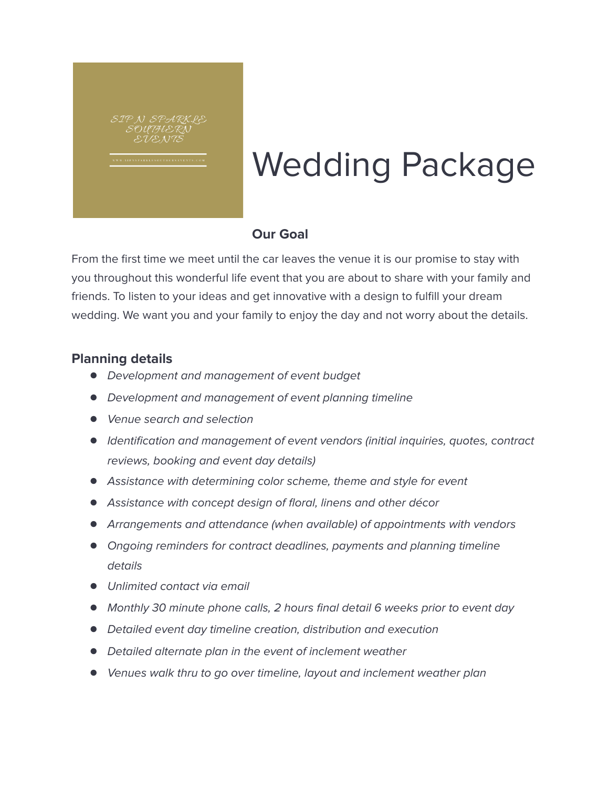

# Wedding Package

#### **Our Goal**

From the first time we meet until the car leaves the venue it is our promise to stay with you throughout this wonderful life event that you are about to share with your family and friends. To listen to your ideas and get innovative with a design to fulfill your dream wedding. We want you and your family to enjoy the day and not worry about the details.

#### **Planning details**

- Development and management of event budget
- Development and management of event planning timeline
- Venue search and selection
- Identification and management of event vendors (initial inquiries, quotes, contract reviews, booking and event day details)
- Assistance with determining color scheme, theme and style for event
- Assistance with concept design of floral, linens and other décor
- Arrangements and attendance (when available) of appointments with vendors
- Ongoing reminders for contract deadlines, payments and planning timeline details
- Unlimited contact via email
- Monthly 30 minute phone calls, 2 hours final detail 6 weeks prior to event day
- Detailed event day timeline creation, distribution and execution
- Detailed alternate plan in the event of inclement weather
- Venues walk thru to go over timeline, layout and inclement weather plan